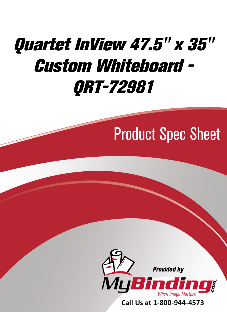# [Quartet InView 47.5" x 35"](https://www.mybinding.com/quartet-inview-custom-whiteboard.html?sku=QRT-72981)  Custom Whiteboard - QRT-72981

## Product Spec Sheet



Call Us at 1-800-944-4573